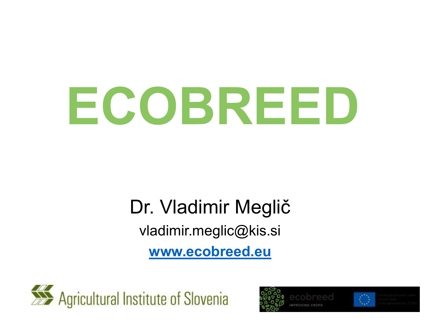# **ECOBREED**

Dr. Vladimir Meglič vladimir.meglic@kis.si **[www.ecobreed.eu](http://www.ecobreed.eu/)**





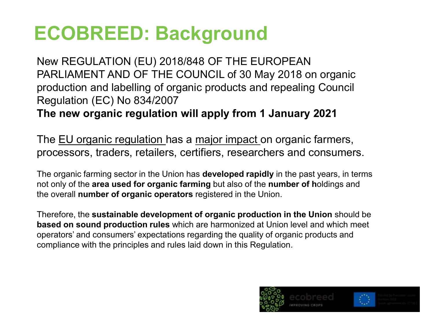#### **ECOBREED: Background**

New REGULATION (EU) 2018/848 OF THE EUROPEAN PARLIAMENT AND OF THE COUNCIL of 30 May 2018 on organic production and labelling of organic products and repealing Council Regulation (EC) No 834/2007

#### **The new organic regulation will apply from 1 January 2021**

The EU organic regulation has a major impact on organic farmers, processors, traders, retailers, certifiers, researchers and consumers.

The organic farming sector in the Union has **developed rapidly** in the past years, in terms not only of the **area used for organic farming** but also of the **number of h**oldings and the overall **number of organic operators** registered in the Union.

Therefore, the **sustainable development of organic production in the Union** should be **based on sound production rules** which are harmonized at Union level and which meet operators' and consumers' expectations regarding the quality of organic products and compliance with the principles and rules laid down in this Regulation.



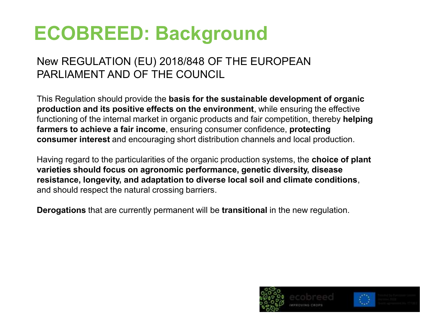### **ECOBREED: Background**

#### New REGULATION (EU) 2018/848 OF THE EUROPEAN PARLIAMENT AND OF THE COUNCIL

This Regulation should provide the **basis for the sustainable development of organic production and its positive effects on the environment**, while ensuring the effective functioning of the internal market in organic products and fair competition, thereby **helping farmers to achieve a fair income**, ensuring consumer confidence, **protecting consumer interest** and encouraging short distribution channels and local production.

Having regard to the particularities of the organic production systems, the **choice of plant varieties should focus on agronomic performance, genetic diversity, disease resistance, longevity, and adaptation to diverse local soil and climate conditions**, and should respect the natural crossing barriers.

**Derogations** that are currently permanent will be **transitional** in the new regulation.



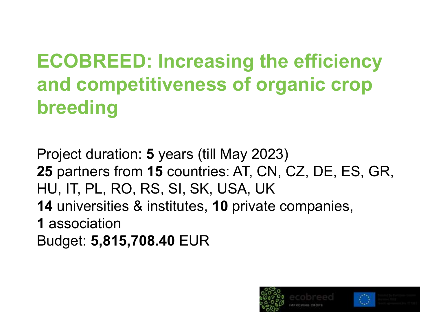### **ECOBREED: Increasing the efficiency and competitiveness of organic crop breeding**

Project duration: **5** years (till May 2023) **25** partners from **15** countries: AT, CN, CZ, DE, ES, GR, HU, IT, PL, RO, RS, SI, SK, USA, UK **14** universities & institutes, **10** private companies, **1** association Budget: **5,815,708.40** EUR



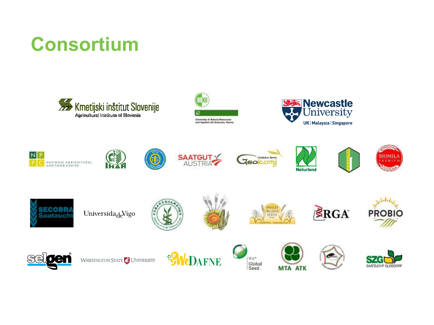### **Consortium**





















Universida<sub>de</sub>Vigo













WASHINGTON STATE & UNIVERSITY









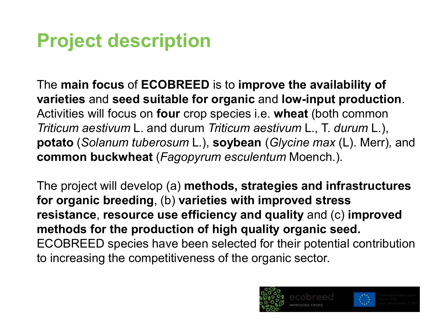#### **Project description**

The **main focus** of **ECOBREED** is to **improve the availability of varieties** and **seed suitable for organic** and **low-input production**. Activities will focus on **four** crop species i.e. **wheat** (both common *Triticum aestivum* L. and durum *Triticum aestivum* L., T. *durum* L.), **potato** (*Solanum tuberosum* L*.*), **soybean** (*Glycine max* (L). Merr)*,* and **common buckwheat** (*Fagopyrum esculentum* Moench.).

The project will develop (a) **methods, strategies and infrastructures for organic breeding**, (b) **varieties with improved stress resistance**, **resource use efficiency and quality** and (c) **improved methods for the production of high quality organic seed.** ECOBREED species have been selected for their potential contribution to increasing the competitiveness of the organic sector.



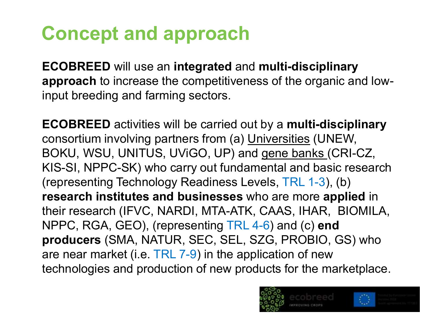### **Concept and approach**

**ECOBREED** will use an **integrated** and **multi-disciplinary approach** to increase the competitiveness of the organic and lowinput breeding and farming sectors.

**ECOBREED** activities will be carried out by a **multi-disciplinary** consortium involving partners from (a) Universities (UNEW, BOKU, WSU, UNITUS, UViGO, UP) and gene banks (CRI-CZ, KIS-SI, NPPC-SK) who carry out fundamental and basic research (representing Technology Readiness Levels, TRL 1-3), (b) **research institutes and businesses** who are more **applied** in their research (IFVC, NARDI, MTA-ATK, CAAS, IHAR, BIOMILA, NPPC, RGA, GEO), (representing TRL 4-6) and (c) **end producers** (SMA, NATUR, SEC, SEL, SZG, PROBIO, GS) who are near market (i.e. TRL 7-9) in the application of new technologies and production of new products for the marketplace.

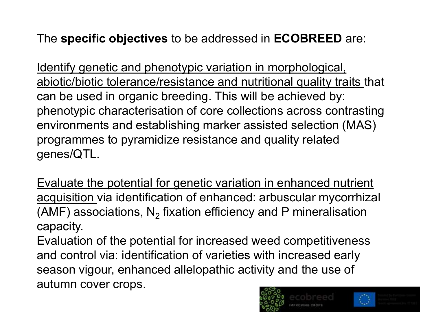#### The **specific objectives** to be addressed in **ECOBREED** are:

Identify genetic and phenotypic variation in morphological, abiotic/biotic tolerance/resistance and nutritional quality traits that can be used in organic breeding. This will be achieved by: phenotypic characterisation of core collections across contrasting environments and establishing marker assisted selection (MAS) programmes to pyramidize resistance and quality related genes/QTL.

Evaluate the potential for genetic variation in enhanced nutrient acquisition via identification of enhanced: arbuscular mycorrhizal (AMF) associations,  $N_2$  fixation efficiency and P mineralisation capacity.

Evaluation of the potential for increased weed competitiveness and control via: identification of varieties with increased early season vigour, enhanced allelopathic activity and the use of autumn cover crops.

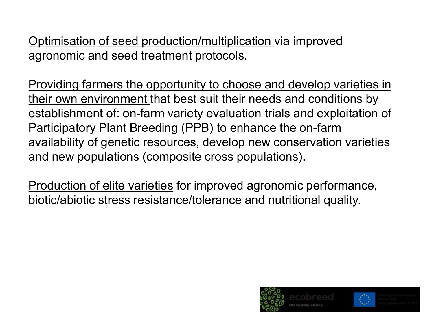Optimisation of seed production/multiplication via improved agronomic and seed treatment protocols.

Providing farmers the opportunity to choose and develop varieties in their own environment that best suit their needs and conditions by establishment of: on-farm variety evaluation trials and exploitation of Participatory Plant Breeding (PPB) to enhance the on-farm availability of genetic resources, develop new conservation varieties and new populations (composite cross populations).

Production of elite varieties for improved agronomic performance, biotic/abiotic stress resistance/tolerance and nutritional quality.



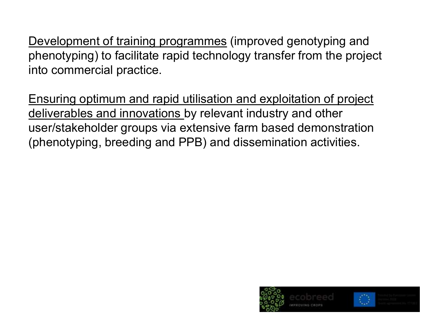Development of training programmes (improved genotyping and phenotyping) to facilitate rapid technology transfer from the project into commercial practice.

Ensuring optimum and rapid utilisation and exploitation of project deliverables and innovations by relevant industry and other user/stakeholder groups via extensive farm based demonstration (phenotyping, breeding and PPB) and dissemination activities.



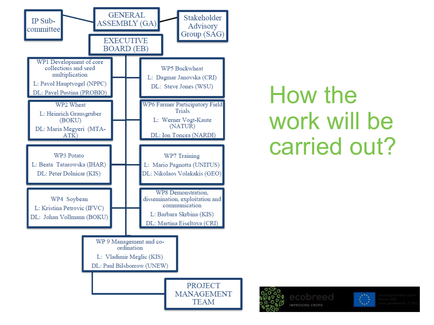

### How the work will be carried out?



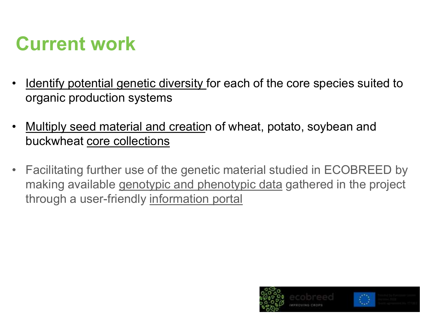### **Current work**

- I dentify potential genetic diversity for each of the core species suited to organic production systems
- Multiply seed material and creation of wheat, potato, soybean and buckwheat core collections
- Facilitating further use of the genetic material studied in ECOBREED by making available genotypic and phenotypic data gathered in the project through a user-friendly information portal



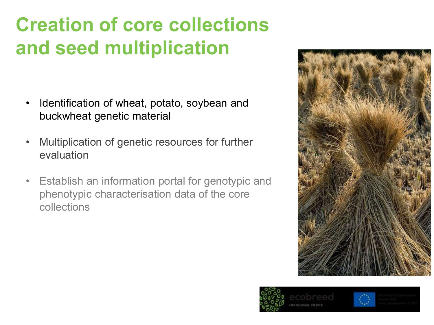### **Creation of core collections and seed multiplication**

- Identification of wheat, potato, soybean and buckwheat genetic material
- Multiplication of genetic resources for further evaluation
- Establish an information portal for genotypic and phenotypic characterisation data of the core collections





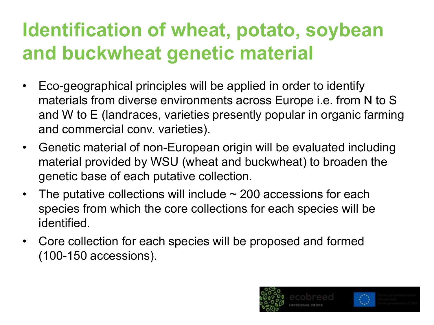#### **Identification of wheat, potato, soybean and buckwheat genetic material**

- Eco-geographical principles will be applied in order to identify materials from diverse environments across Europe i.e. from N to S and W to E (landraces, varieties presently popular in organic farming and commercial conv. varieties).
- Genetic material of non-European origin will be evaluated including material provided by WSU (wheat and buckwheat) to broaden the genetic base of each putative collection.
- The putative collections will include  $\sim$  200 accessions for each species from which the core collections for each species will be identified.
- Core collection for each species will be proposed and formed (100-150 accessions).



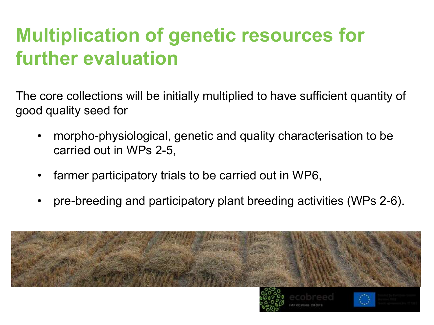### **Multiplication of genetic resources for further evaluation**

The core collections will be initially multiplied to have sufficient quantity of good quality seed for

- morpho-physiological, genetic and quality characterisation to be carried out in WPs 2-5,
- farmer participatory trials to be carried out in WP6,
- pre-breeding and participatory plant breeding activities (WPs 2-6).





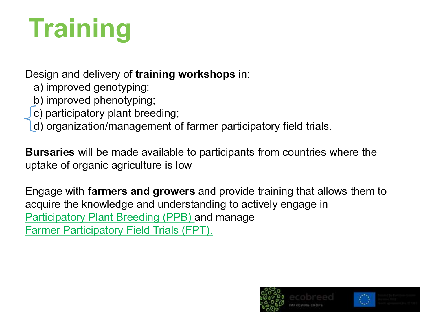## **Training**

Design and delivery of **training workshops** in:

- a) improved genotyping;
- b) improved phenotyping;
- c) participatory plant breeding;
- d) organization/management of farmer participatory field trials.

**Bursaries** will be made available to participants from countries where the uptake of organic agriculture is low

Engage with **farmers and growers** and provide training that allows them to acquire the knowledge and understanding to actively engage in **Participatory Plant Breeding (PPB) and manage** Farmer Participatory Field Trials (FPT).



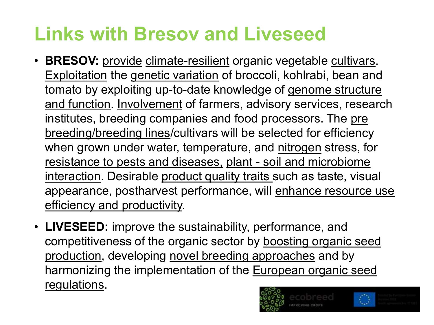### **Links with Bresov and Liveseed**

- **BRESOV:** provide climate-resilient organic vegetable cultivars. Exploitation the genetic variation of broccoli, kohlrabi, bean and tomato by exploiting up-to-date knowledge of genome structure and function. Involvement of farmers, advisory services, research institutes, breeding companies and food processors. The pre breeding/breeding lines/cultivars will be selected for efficiency when grown under water, temperature, and nitrogen stress, for resistance to pests and diseases, plant - soil and microbiome interaction. Desirable product quality traits such as taste, visual appearance, postharvest performance, will enhance resource use efficiency and productivity.
- **LIVESEED:** improve the sustainability, performance, and competitiveness of the organic sector by boosting organic seed production, developing novel breeding approaches and by harmonizing the implementation of the European organic seed regulations.

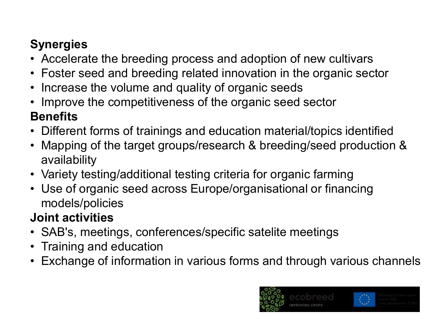#### **Synergies**

- Accelerate the breeding process and adoption of new cultivars
- Foster seed and breeding related innovation in the organic sector
- Increase the volume and quality of organic seeds
- Improve the competitiveness of the organic seed sector **Benefits**
- Different forms of trainings and education material/topics identified
- Mapping of the target groups/research & breeding/seed production & availability
- Variety testing/additional testing criteria for organic farming
- Use of organic seed across Europe/organisational or financing models/policies

#### **Joint activities**

- SAB's, meetings, conferences/specific satelite meetings
- Training and education
- Exchange of information in various forms and through various channels

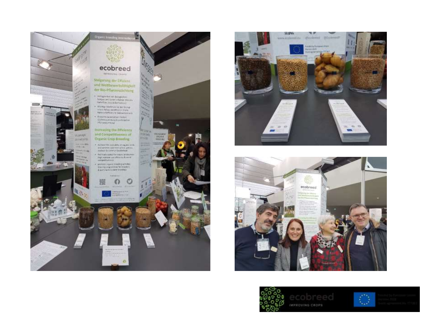